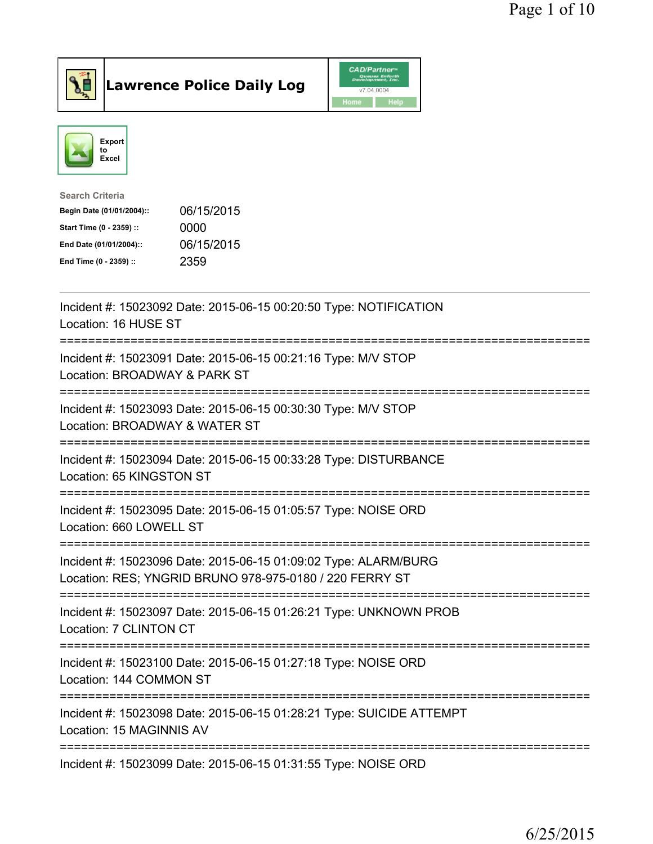



| <b>Search Criteria</b>    |            |
|---------------------------|------------|
| Begin Date (01/01/2004):: | 06/15/2015 |
| Start Time (0 - 2359) ::  | 0000       |
| End Date (01/01/2004)::   | 06/15/2015 |
| End Time (0 - 2359) ::    | 2359       |
|                           |            |

| Incident #: 15023092 Date: 2015-06-15 00:20:50 Type: NOTIFICATION<br>Location: 16 HUSE ST                                  |
|----------------------------------------------------------------------------------------------------------------------------|
| Incident #: 15023091 Date: 2015-06-15 00:21:16 Type: M/V STOP<br>Location: BROADWAY & PARK ST                              |
| Incident #: 15023093 Date: 2015-06-15 00:30:30 Type: M/V STOP<br>Location: BROADWAY & WATER ST                             |
| Incident #: 15023094 Date: 2015-06-15 00:33:28 Type: DISTURBANCE<br>Location: 65 KINGSTON ST                               |
| Incident #: 15023095 Date: 2015-06-15 01:05:57 Type: NOISE ORD<br>Location: 660 LOWELL ST                                  |
| Incident #: 15023096 Date: 2015-06-15 01:09:02 Type: ALARM/BURG<br>Location: RES; YNGRID BRUNO 978-975-0180 / 220 FERRY ST |
| Incident #: 15023097 Date: 2015-06-15 01:26:21 Type: UNKNOWN PROB<br>Location: 7 CLINTON CT                                |
| Incident #: 15023100 Date: 2015-06-15 01:27:18 Type: NOISE ORD<br>Location: 144 COMMON ST                                  |
| Incident #: 15023098 Date: 2015-06-15 01:28:21 Type: SUICIDE ATTEMPT<br>Location: 15 MAGINNIS AV                           |
| Incident #: 15023099 Date: 2015-06-15 01:31:55 Type: NOISE ORD                                                             |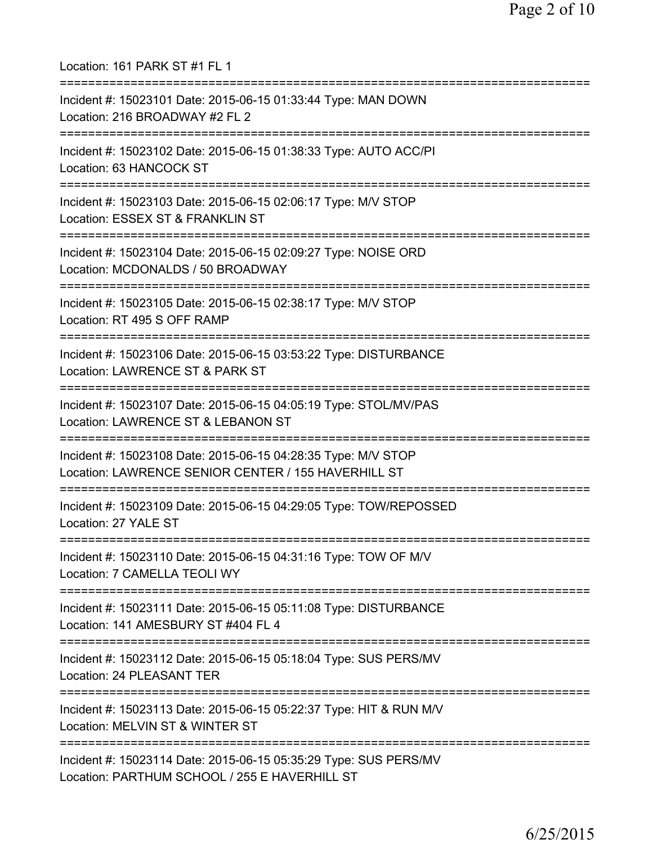Location: 161 PARK ST #1 FL 1 =========================================================================== Incident #: 15023101 Date: 2015-06-15 01:33:44 Type: MAN DOWN Location: 216 BROADWAY #2 FL 2 =========================================================================== Incident #: 15023102 Date: 2015-06-15 01:38:33 Type: AUTO ACC/PI Location: 63 HANCOCK ST =========================================================================== Incident #: 15023103 Date: 2015-06-15 02:06:17 Type: M/V STOP Location: ESSEX ST & FRANKLIN ST =========================================================================== Incident #: 15023104 Date: 2015-06-15 02:09:27 Type: NOISE ORD Location: MCDONALDS / 50 BROADWAY =========================================================================== Incident #: 15023105 Date: 2015-06-15 02:38:17 Type: M/V STOP Location: RT 495 S OFF RAMP =========================================================================== Incident #: 15023106 Date: 2015-06-15 03:53:22 Type: DISTURBANCE Location: LAWRENCE ST & PARK ST =========================================================================== Incident #: 15023107 Date: 2015-06-15 04:05:19 Type: STOL/MV/PAS Location: LAWRENCE ST & LEBANON ST =========================================================================== Incident #: 15023108 Date: 2015-06-15 04:28:35 Type: M/V STOP Location: LAWRENCE SENIOR CENTER / 155 HAVERHILL ST =========================================================================== Incident #: 15023109 Date: 2015-06-15 04:29:05 Type: TOW/REPOSSED Location: 27 YALE ST =========================================================================== Incident #: 15023110 Date: 2015-06-15 04:31:16 Type: TOW OF M/V Location: 7 CAMELLA TEOLI WY =========================================================================== Incident #: 15023111 Date: 2015-06-15 05:11:08 Type: DISTURBANCE Location: 141 AMESBURY ST #404 FL 4 =========================================================================== Incident #: 15023112 Date: 2015-06-15 05:18:04 Type: SUS PERS/MV Location: 24 PLEASANT TER =========================================================================== Incident #: 15023113 Date: 2015-06-15 05:22:37 Type: HIT & RUN M/V Location: MELVIN ST & WINTER ST =========================================================================== Incident #: 15023114 Date: 2015-06-15 05:35:29 Type: SUS PERS/MV Location: PARTHUM SCHOOL / 255 E HAVERHILL ST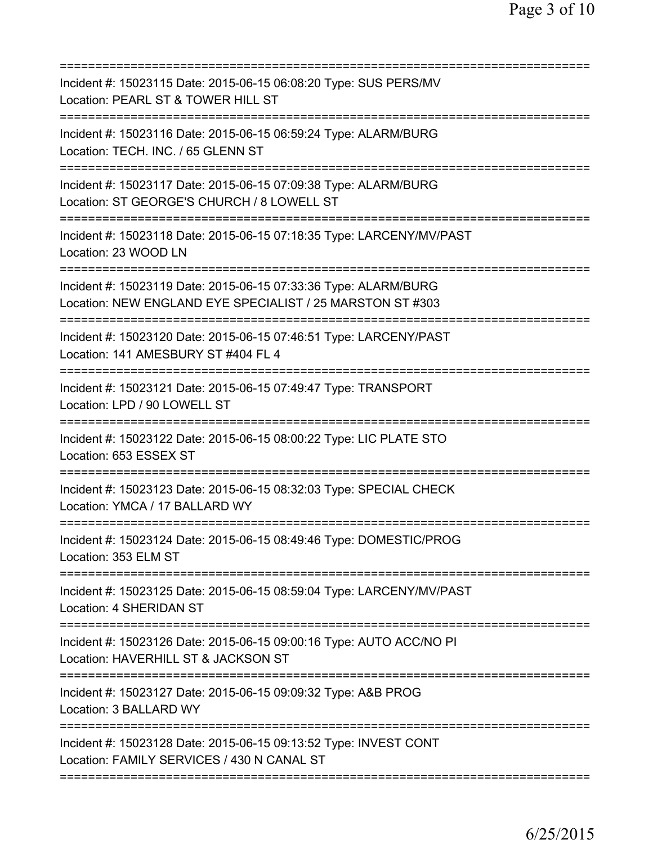| Incident #: 15023115 Date: 2015-06-15 06:08:20 Type: SUS PERS/MV<br>Location: PEARL ST & TOWER HILL ST                                         |
|------------------------------------------------------------------------------------------------------------------------------------------------|
| Incident #: 15023116 Date: 2015-06-15 06:59:24 Type: ALARM/BURG<br>Location: TECH. INC. / 65 GLENN ST                                          |
| Incident #: 15023117 Date: 2015-06-15 07:09:38 Type: ALARM/BURG<br>Location: ST GEORGE'S CHURCH / 8 LOWELL ST                                  |
| =======================<br>Incident #: 15023118 Date: 2015-06-15 07:18:35 Type: LARCENY/MV/PAST<br>Location: 23 WOOD LN                        |
| Incident #: 15023119 Date: 2015-06-15 07:33:36 Type: ALARM/BURG<br>Location: NEW ENGLAND EYE SPECIALIST / 25 MARSTON ST #303                   |
| Incident #: 15023120 Date: 2015-06-15 07:46:51 Type: LARCENY/PAST<br>Location: 141 AMESBURY ST #404 FL 4                                       |
| Incident #: 15023121 Date: 2015-06-15 07:49:47 Type: TRANSPORT<br>Location: LPD / 90 LOWELL ST                                                 |
| Incident #: 15023122 Date: 2015-06-15 08:00:22 Type: LIC PLATE STO<br>Location: 653 ESSEX ST                                                   |
| Incident #: 15023123 Date: 2015-06-15 08:32:03 Type: SPECIAL CHECK<br>Location: YMCA / 17 BALLARD WY                                           |
| Incident #: 15023124 Date: 2015-06-15 08:49:46 Type: DOMESTIC/PROG<br>Location: 353 ELM ST                                                     |
| Incident #: 15023125 Date: 2015-06-15 08:59:04 Type: LARCENY/MV/PAST<br>Location: 4 SHERIDAN ST                                                |
| Incident #: 15023126 Date: 2015-06-15 09:00:16 Type: AUTO ACC/NO PI<br>Location: HAVERHILL ST & JACKSON ST<br>================================ |
| Incident #: 15023127 Date: 2015-06-15 09:09:32 Type: A&B PROG<br>Location: 3 BALLARD WY                                                        |
| Incident #: 15023128 Date: 2015-06-15 09:13:52 Type: INVEST CONT<br>Location: FAMILY SERVICES / 430 N CANAL ST                                 |
|                                                                                                                                                |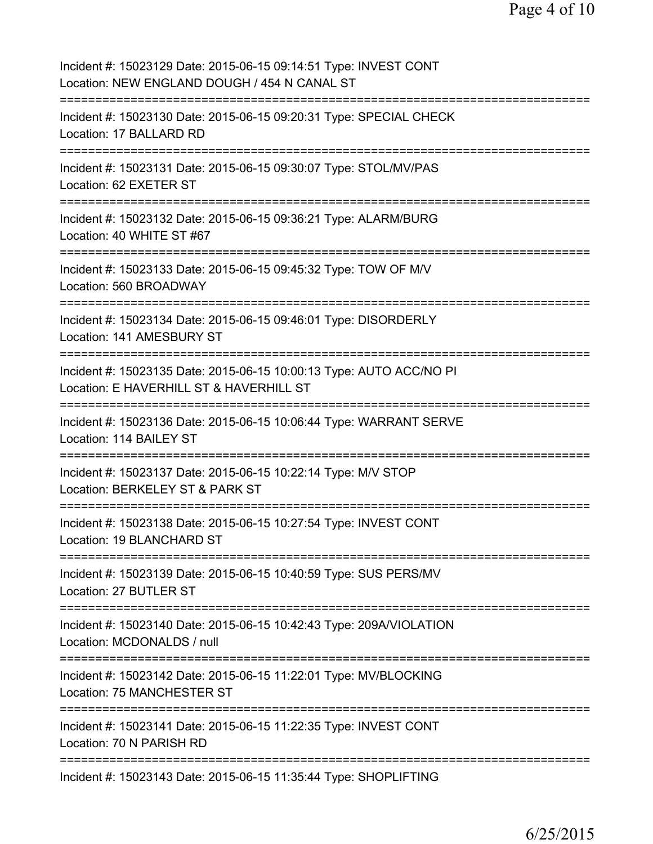| Incident #: 15023129 Date: 2015-06-15 09:14:51 Type: INVEST CONT<br>Location: NEW ENGLAND DOUGH / 454 N CANAL ST                        |
|-----------------------------------------------------------------------------------------------------------------------------------------|
| Incident #: 15023130 Date: 2015-06-15 09:20:31 Type: SPECIAL CHECK<br>Location: 17 BALLARD RD                                           |
| Incident #: 15023131 Date: 2015-06-15 09:30:07 Type: STOL/MV/PAS<br>Location: 62 EXETER ST                                              |
| Incident #: 15023132 Date: 2015-06-15 09:36:21 Type: ALARM/BURG<br>Location: 40 WHITE ST #67                                            |
| Incident #: 15023133 Date: 2015-06-15 09:45:32 Type: TOW OF M/V<br>Location: 560 BROADWAY                                               |
| Incident #: 15023134 Date: 2015-06-15 09:46:01 Type: DISORDERLY<br>Location: 141 AMESBURY ST                                            |
| Incident #: 15023135 Date: 2015-06-15 10:00:13 Type: AUTO ACC/NO PI<br>Location: E HAVERHILL ST & HAVERHILL ST                          |
| Incident #: 15023136 Date: 2015-06-15 10:06:44 Type: WARRANT SERVE<br>Location: 114 BAILEY ST<br>====================================== |
| Incident #: 15023137 Date: 2015-06-15 10:22:14 Type: M/V STOP<br>Location: BERKELEY ST & PARK ST                                        |
| Incident #: 15023138 Date: 2015-06-15 10:27:54 Type: INVEST CONT<br>Location: 19 BLANCHARD ST                                           |
| Incident #: 15023139 Date: 2015-06-15 10:40:59 Type: SUS PERS/MV<br>Location: 27 BUTLER ST                                              |
| Incident #: 15023140 Date: 2015-06-15 10:42:43 Type: 209A/VIOLATION<br>Location: MCDONALDS / null                                       |
| Incident #: 15023142 Date: 2015-06-15 11:22:01 Type: MV/BLOCKING<br>Location: 75 MANCHESTER ST                                          |
| Incident #: 15023141 Date: 2015-06-15 11:22:35 Type: INVEST CONT<br>Location: 70 N PARISH RD                                            |
| Incident #: 15023143 Date: 2015-06-15 11:35:44 Type: SHOPLIFTING                                                                        |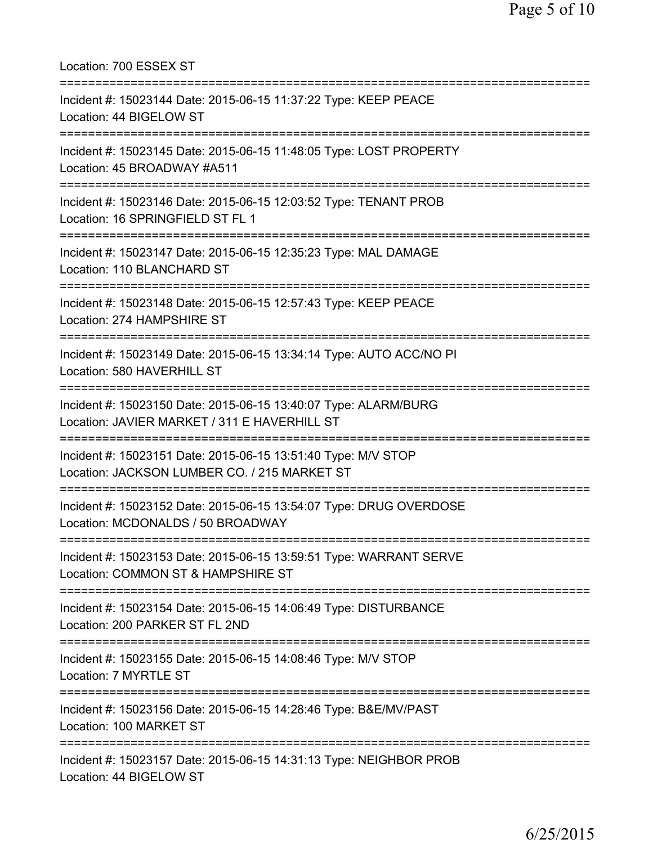| Location: 700 ESSEX ST                                                                                                                                                |
|-----------------------------------------------------------------------------------------------------------------------------------------------------------------------|
| Incident #: 15023144 Date: 2015-06-15 11:37:22 Type: KEEP PEACE<br>Location: 44 BIGELOW ST<br>===========================                                             |
| Incident #: 15023145 Date: 2015-06-15 11:48:05 Type: LOST PROPERTY<br>Location: 45 BROADWAY #A511                                                                     |
| Incident #: 15023146 Date: 2015-06-15 12:03:52 Type: TENANT PROB<br>Location: 16 SPRINGFIELD ST FL 1<br>===========================<br>-============================= |
| Incident #: 15023147 Date: 2015-06-15 12:35:23 Type: MAL DAMAGE<br>Location: 110 BLANCHARD ST                                                                         |
| Incident #: 15023148 Date: 2015-06-15 12:57:43 Type: KEEP PEACE<br>Location: 274 HAMPSHIRE ST                                                                         |
| Incident #: 15023149 Date: 2015-06-15 13:34:14 Type: AUTO ACC/NO PI<br>Location: 580 HAVERHILL ST                                                                     |
| Incident #: 15023150 Date: 2015-06-15 13:40:07 Type: ALARM/BURG<br>Location: JAVIER MARKET / 311 E HAVERHILL ST                                                       |
| Incident #: 15023151 Date: 2015-06-15 13:51:40 Type: M/V STOP<br>Location: JACKSON LUMBER CO. / 215 MARKET ST                                                         |
| Incident #: 15023152 Date: 2015-06-15 13:54:07 Type: DRUG OVERDOSE<br>Location: MCDONALDS / 50 BROADWAY                                                               |
| Incident #: 15023153 Date: 2015-06-15 13:59:51 Type: WARRANT SERVE<br>Location: COMMON ST & HAMPSHIRE ST                                                              |
| Incident #: 15023154 Date: 2015-06-15 14:06:49 Type: DISTURBANCE<br>Location: 200 PARKER ST FL 2ND                                                                    |
| Incident #: 15023155 Date: 2015-06-15 14:08:46 Type: M/V STOP<br>Location: 7 MYRTLE ST                                                                                |
| Incident #: 15023156 Date: 2015-06-15 14:28:46 Type: B&E/MV/PAST<br>Location: 100 MARKET ST                                                                           |
| Incident #: 15023157 Date: 2015-06-15 14:31:13 Type: NEIGHBOR PROB<br>Location: 44 BIGELOW ST                                                                         |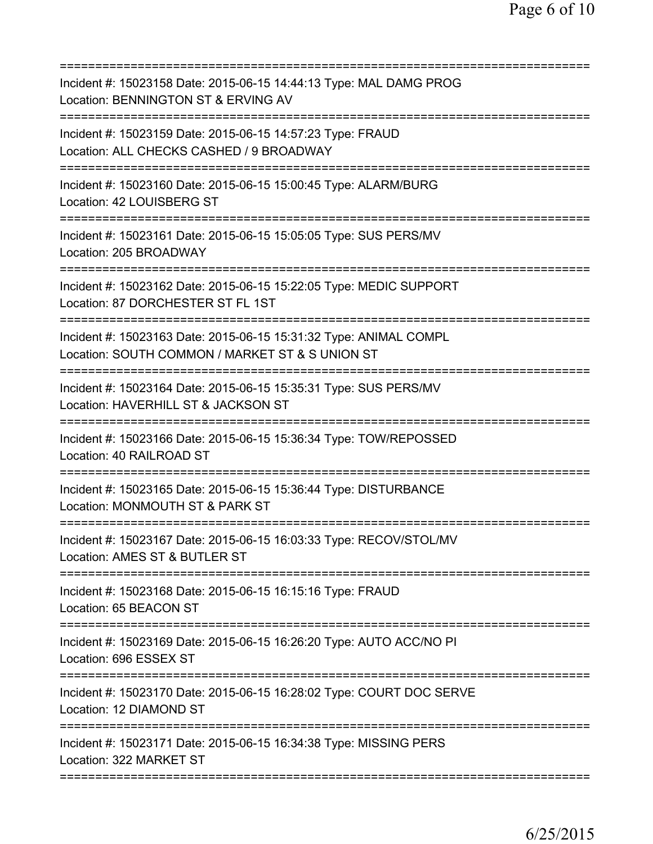| Incident #: 15023158 Date: 2015-06-15 14:44:13 Type: MAL DAMG PROG<br>Location: BENNINGTON ST & ERVING AV<br>====================== |
|-------------------------------------------------------------------------------------------------------------------------------------|
| Incident #: 15023159 Date: 2015-06-15 14:57:23 Type: FRAUD<br>Location: ALL CHECKS CASHED / 9 BROADWAY                              |
| Incident #: 15023160 Date: 2015-06-15 15:00:45 Type: ALARM/BURG<br>Location: 42 LOUISBERG ST                                        |
| Incident #: 15023161 Date: 2015-06-15 15:05:05 Type: SUS PERS/MV<br>Location: 205 BROADWAY                                          |
| Incident #: 15023162 Date: 2015-06-15 15:22:05 Type: MEDIC SUPPORT<br>Location: 87 DORCHESTER ST FL 1ST                             |
| Incident #: 15023163 Date: 2015-06-15 15:31:32 Type: ANIMAL COMPL<br>Location: SOUTH COMMON / MARKET ST & S UNION ST                |
| Incident #: 15023164 Date: 2015-06-15 15:35:31 Type: SUS PERS/MV<br>Location: HAVERHILL ST & JACKSON ST                             |
| .=============================<br>Incident #: 15023166 Date: 2015-06-15 15:36:34 Type: TOW/REPOSSED<br>Location: 40 RAILROAD ST     |
| ==============<br>Incident #: 15023165 Date: 2015-06-15 15:36:44 Type: DISTURBANCE<br>Location: MONMOUTH ST & PARK ST               |
| Incident #: 15023167 Date: 2015-06-15 16:03:33 Type: RECOV/STOL/MV<br>Location: AMES ST & BUTLER ST                                 |
| Incident #: 15023168 Date: 2015-06-15 16:15:16 Type: FRAUD<br>Location: 65 BEACON ST                                                |
| Incident #: 15023169 Date: 2015-06-15 16:26:20 Type: AUTO ACC/NO PI<br>Location: 696 ESSEX ST                                       |
| Incident #: 15023170 Date: 2015-06-15 16:28:02 Type: COURT DOC SERVE<br>Location: 12 DIAMOND ST                                     |
| Incident #: 15023171 Date: 2015-06-15 16:34:38 Type: MISSING PERS<br>Location: 322 MARKET ST                                        |
|                                                                                                                                     |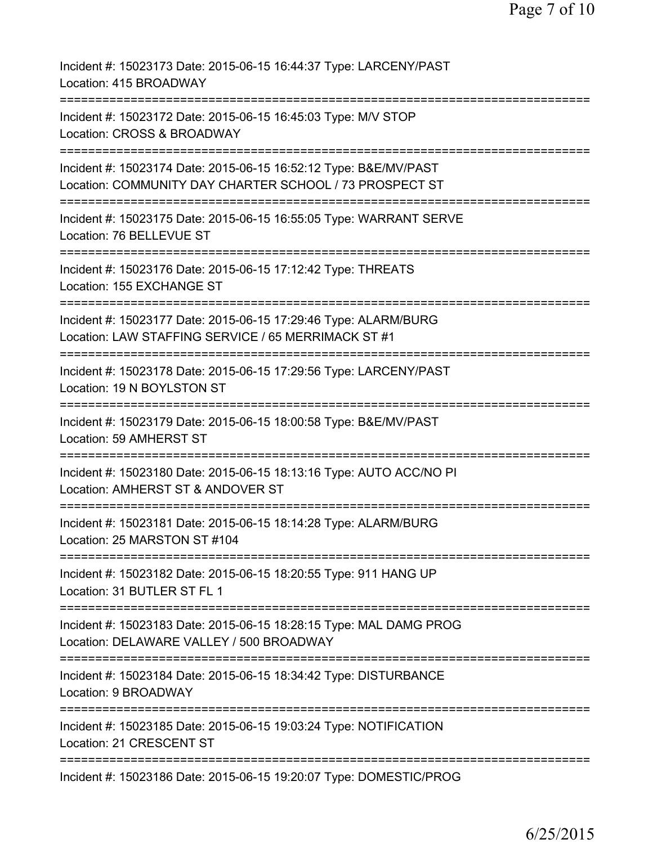| Incident #: 15023173 Date: 2015-06-15 16:44:37 Type: LARCENY/PAST<br>Location: 415 BROADWAY                                                      |
|--------------------------------------------------------------------------------------------------------------------------------------------------|
| Incident #: 15023172 Date: 2015-06-15 16:45:03 Type: M/V STOP<br>Location: CROSS & BROADWAY                                                      |
| Incident #: 15023174 Date: 2015-06-15 16:52:12 Type: B&E/MV/PAST<br>Location: COMMUNITY DAY CHARTER SCHOOL / 73 PROSPECT ST                      |
| Incident #: 15023175 Date: 2015-06-15 16:55:05 Type: WARRANT SERVE<br>Location: 76 BELLEVUE ST                                                   |
| Incident #: 15023176 Date: 2015-06-15 17:12:42 Type: THREATS<br>Location: 155 EXCHANGE ST                                                        |
| Incident #: 15023177 Date: 2015-06-15 17:29:46 Type: ALARM/BURG<br>Location: LAW STAFFING SERVICE / 65 MERRIMACK ST #1                           |
| Incident #: 15023178 Date: 2015-06-15 17:29:56 Type: LARCENY/PAST<br>Location: 19 N BOYLSTON ST                                                  |
| Incident #: 15023179 Date: 2015-06-15 18:00:58 Type: B&E/MV/PAST<br>Location: 59 AMHERST ST                                                      |
| ____________________________________<br>Incident #: 15023180 Date: 2015-06-15 18:13:16 Type: AUTO ACC/NO PI<br>Location: AMHERST ST & ANDOVER ST |
| Incident #: 15023181 Date: 2015-06-15 18:14:28 Type: ALARM/BURG<br>Location: 25 MARSTON ST #104                                                  |
| Incident #: 15023182 Date: 2015-06-15 18:20:55 Type: 911 HANG UP<br>Location: 31 BUTLER ST FL 1                                                  |
| Incident #: 15023183 Date: 2015-06-15 18:28:15 Type: MAL DAMG PROG<br>Location: DELAWARE VALLEY / 500 BROADWAY                                   |
| Incident #: 15023184 Date: 2015-06-15 18:34:42 Type: DISTURBANCE<br>Location: 9 BROADWAY                                                         |
| Incident #: 15023185 Date: 2015-06-15 19:03:24 Type: NOTIFICATION<br>Location: 21 CRESCENT ST                                                    |
| Incident #: 15023186 Date: 2015-06-15 19:20:07 Type: DOMESTIC/PROG                                                                               |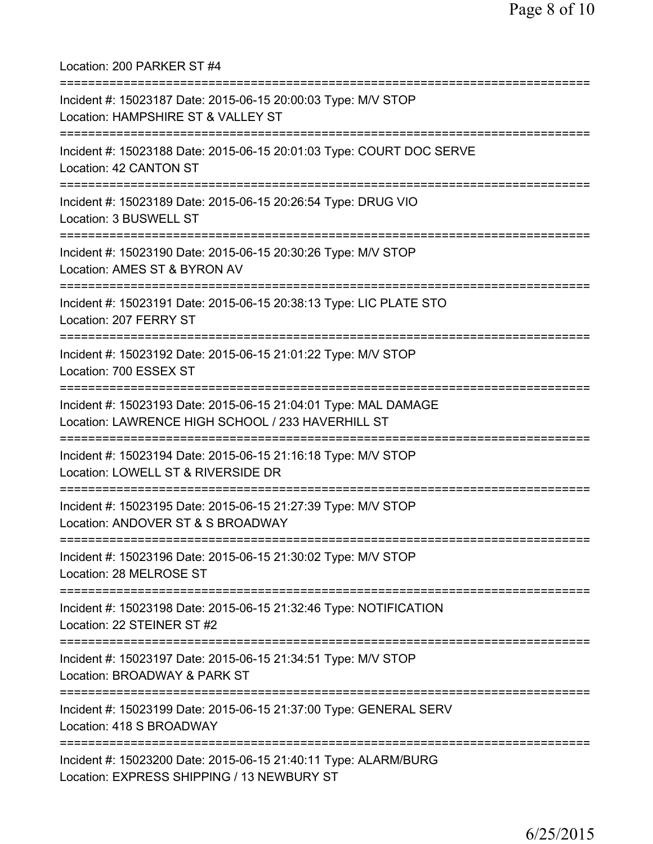Location: 200 PARKER ST #4 =========================================================================== Incident #: 15023187 Date: 2015-06-15 20:00:03 Type: M/V STOP Location: HAMPSHIRE ST & VALLEY ST =========================================================================== Incident #: 15023188 Date: 2015-06-15 20:01:03 Type: COURT DOC SERVE Location: 42 CANTON ST =========================================================================== Incident #: 15023189 Date: 2015-06-15 20:26:54 Type: DRUG VIO Location: 3 BUSWELL ST =========================================================================== Incident #: 15023190 Date: 2015-06-15 20:30:26 Type: M/V STOP Location: AMES ST & BYRON AV =========================================================================== Incident #: 15023191 Date: 2015-06-15 20:38:13 Type: LIC PLATE STO Location: 207 FERRY ST =========================================================================== Incident #: 15023192 Date: 2015-06-15 21:01:22 Type: M/V STOP Location: 700 ESSEX ST =========================================================================== Incident #: 15023193 Date: 2015-06-15 21:04:01 Type: MAL DAMAGE Location: LAWRENCE HIGH SCHOOL / 233 HAVERHILL ST =========================================================================== Incident #: 15023194 Date: 2015-06-15 21:16:18 Type: M/V STOP Location: LOWELL ST & RIVERSIDE DR =========================================================================== Incident #: 15023195 Date: 2015-06-15 21:27:39 Type: M/V STOP Location: ANDOVER ST & S BROADWAY =========================================================================== Incident #: 15023196 Date: 2015-06-15 21:30:02 Type: M/V STOP Location: 28 MELROSE ST =========================================================================== Incident #: 15023198 Date: 2015-06-15 21:32:46 Type: NOTIFICATION Location: 22 STEINER ST #2 =========================================================================== Incident #: 15023197 Date: 2015-06-15 21:34:51 Type: M/V STOP Location: BROADWAY & PARK ST =========================================================================== Incident #: 15023199 Date: 2015-06-15 21:37:00 Type: GENERAL SERV Location: 418 S BROADWAY =========================================================================== Incident #: 15023200 Date: 2015-06-15 21:40:11 Type: ALARM/BURG Location: EXPRESS SHIPPING / 13 NEWBURY ST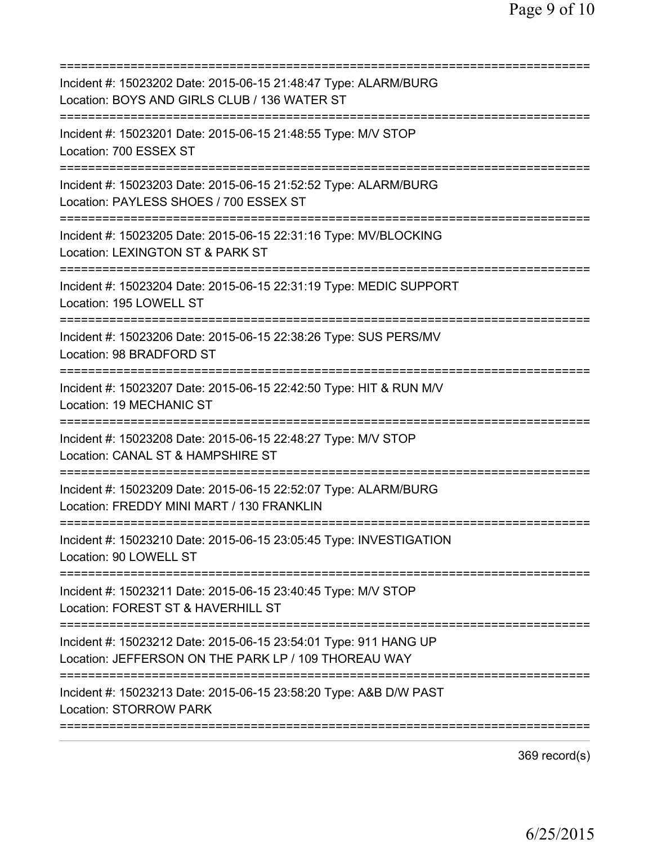=========================================================================== Incident #: 15023202 Date: 2015-06-15 21:48:47 Type: ALARM/BURG Location: BOYS AND GIRLS CLUB / 136 WATER ST =========================================================================== Incident #: 15023201 Date: 2015-06-15 21:48:55 Type: M/V STOP Location: 700 ESSEX ST =========================================================================== Incident #: 15023203 Date: 2015-06-15 21:52:52 Type: ALARM/BURG Location: PAYLESS SHOES / 700 ESSEX ST =========================================================================== Incident #: 15023205 Date: 2015-06-15 22:31:16 Type: MV/BLOCKING Location: LEXINGTON ST & PARK ST =========================================================================== Incident #: 15023204 Date: 2015-06-15 22:31:19 Type: MEDIC SUPPORT Location: 195 LOWELL ST =========================================================================== Incident #: 15023206 Date: 2015-06-15 22:38:26 Type: SUS PERS/MV Location: 98 BRADFORD ST =========================================================================== Incident #: 15023207 Date: 2015-06-15 22:42:50 Type: HIT & RUN M/V Location: 19 MECHANIC ST =========================================================================== Incident #: 15023208 Date: 2015-06-15 22:48:27 Type: M/V STOP Location: CANAL ST & HAMPSHIRE ST =========================================================================== Incident #: 15023209 Date: 2015-06-15 22:52:07 Type: ALARM/BURG Location: FREDDY MINI MART / 130 FRANKLIN =========================================================================== Incident #: 15023210 Date: 2015-06-15 23:05:45 Type: INVESTIGATION Location: 90 LOWELL ST =========================================================================== Incident #: 15023211 Date: 2015-06-15 23:40:45 Type: M/V STOP Location: FOREST ST & HAVERHILL ST =========================================================================== Incident #: 15023212 Date: 2015-06-15 23:54:01 Type: 911 HANG UP Location: JEFFERSON ON THE PARK LP / 109 THOREAU WAY =========================================================================== Incident #: 15023213 Date: 2015-06-15 23:58:20 Type: A&B D/W PAST Location: STORROW PARK ===========================================================================

369 record(s)